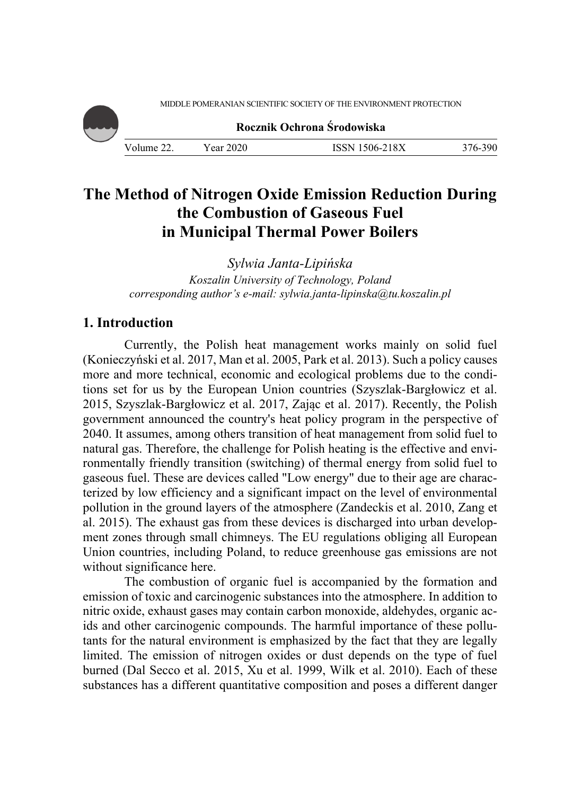MIDDLE POMERANIAN SCIENTIFIC SOCIETY OF THE ENVIRONMENT PROTECTION



**Rocznik Ochrona Środowiska**

Volume 22. Year 2020 ISSN 1506-218X 376-390

# **The Method of Nitrogen Oxide Emission Reduction During the Combustion of Gaseous Fuel in Municipal Thermal Power Boilers**

*Sylwia Janta-Lipińska Koszalin University of Technology, Poland corresponding author's e-mail: sylwia.janta-lipinska@tu.koszalin.pl* 

# **1. Introduction**

Currently, the Polish heat management works mainly on solid fuel (Konieczyński et al. 2017, Man et al. 2005, Park et al. 2013). Such a policy causes more and more technical, economic and ecological problems due to the conditions set for us by the European Union countries (Szyszlak-Bargłowicz et al. 2015, Szyszlak-Bargłowicz et al. 2017, Zając et al. 2017). Recently, the Polish government announced the country's heat policy program in the perspective of 2040. It assumes, among others transition of heat management from solid fuel to natural gas. Therefore, the challenge for Polish heating is the effective and environmentally friendly transition (switching) of thermal energy from solid fuel to gaseous fuel. These are devices called "Low energy" due to their age are characterized by low efficiency and a significant impact on the level of environmental pollution in the ground layers of the atmosphere (Zandeckis et al. 2010, Zang et al. 2015). The exhaust gas from these devices is discharged into urban development zones through small chimneys. The EU regulations obliging all European Union countries, including Poland, to reduce greenhouse gas emissions are not without significance here.

The combustion of organic fuel is accompanied by the formation and emission of toxic and carcinogenic substances into the atmosphere. In addition to nitric oxide, exhaust gases may contain carbon monoxide, aldehydes, organic acids and other carcinogenic compounds. The harmful importance of these pollutants for the natural environment is emphasized by the fact that they are legally limited. The emission of nitrogen oxides or dust depends on the type of fuel burned (Dal Secco et al. 2015, Xu et al. 1999, Wilk et al. 2010). Each of these substances has a different quantitative composition and poses a different danger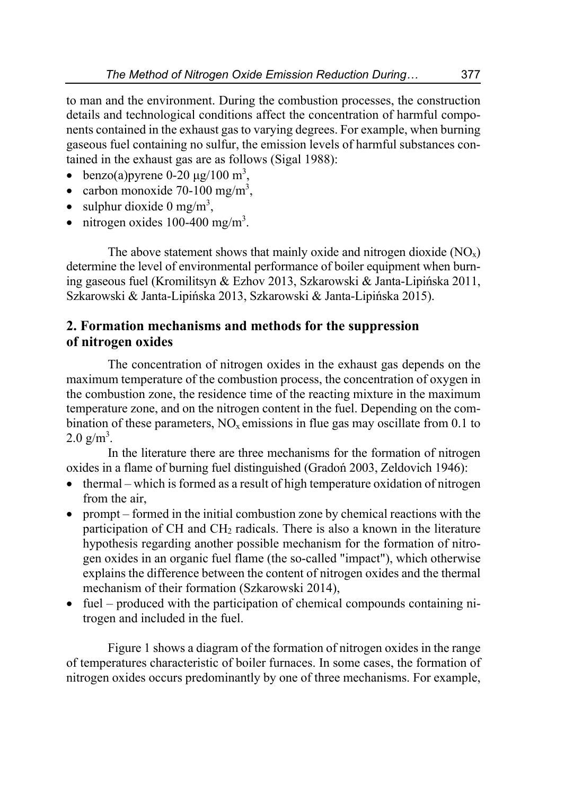to man and the environment. During the combustion processes, the construction details and technological conditions affect the concentration of harmful components contained in the exhaust gas to varying degrees. For example, when burning gaseous fuel containing no sulfur, the emission levels of harmful substances contained in the exhaust gas are as follows (Sigal 1988):

- benzo(a) pyrene 0-20  $\mu$ g/100 m<sup>3</sup>,
- carbon monoxide 70-100 mg/m<sup>3</sup>,
- $\bullet$  sulphur dioxide 0 mg/m<sup>3</sup>,
- $\bullet$  nitrogen oxides 100-400 mg/m<sup>3</sup>.

The above statement shows that mainly oxide and nitrogen dioxide  $(NO<sub>x</sub>)$ determine the level of environmental performance of boiler equipment when burning gaseous fuel (Kromilitsyn & Ezhov 2013, Szkarowski & Janta-Lipińska 2011, Szkarowski & Janta-Lipińska 2013, Szkarowski & Janta-Lipińska 2015).

### **2. Formation mechanisms and methods for the suppression of nitrogen oxides**

The concentration of nitrogen oxides in the exhaust gas depends on the maximum temperature of the combustion process, the concentration of oxygen in the combustion zone, the residence time of the reacting mixture in the maximum temperature zone, and on the nitrogen content in the fuel. Depending on the combination of these parameters,  $NO<sub>x</sub>$  emissions in flue gas may oscillate from 0.1 to  $2.0 \text{ g/m}^3$ .

In the literature there are three mechanisms for the formation of nitrogen oxides in a flame of burning fuel distinguished (Gradoń 2003, Zeldovich 1946):

- $\bullet$  thermal which is formed as a result of high temperature oxidation of nitrogen from the air,
- prompt formed in the initial combustion zone by chemical reactions with the participation of CH and  $CH<sub>2</sub>$  radicals. There is also a known in the literature hypothesis regarding another possible mechanism for the formation of nitrogen oxides in an organic fuel flame (the so-called "impact"), which otherwise explains the difference between the content of nitrogen oxides and the thermal mechanism of their formation (Szkarowski 2014),
- fuel produced with the participation of chemical compounds containing nitrogen and included in the fuel.

Figure 1 shows a diagram of the formation of nitrogen oxides in the range of temperatures characteristic of boiler furnaces. In some cases, the formation of nitrogen oxides occurs predominantly by one of three mechanisms. For example,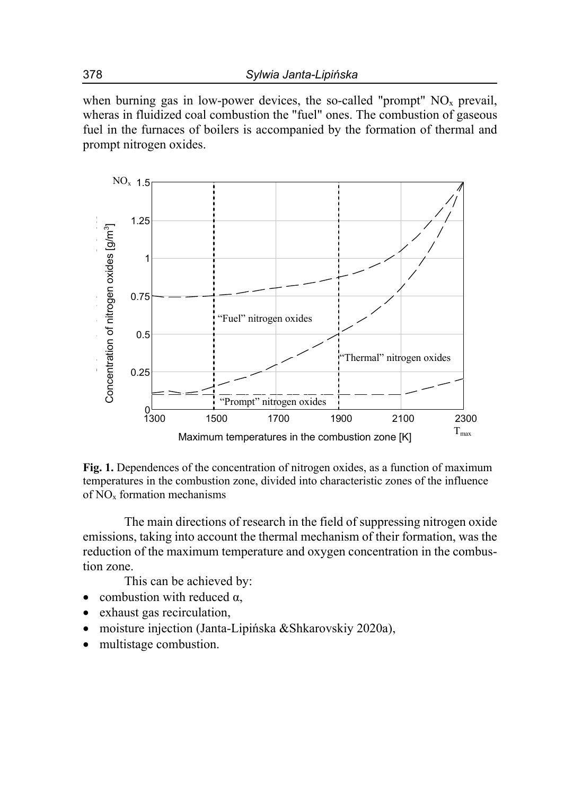when burning gas in low-power devices, the so-called "prompt"  $NO<sub>x</sub>$  prevail, wheras in fluidized coal combustion the "fuel" ones. The combustion of gaseous fuel in the furnaces of boilers is accompanied by the formation of thermal and prompt nitrogen oxides.



**Fig. 1.** Dependences of the concentration of nitrogen oxides, as a function of maximum temperatures in the combustion zone, divided into characteristic zones of the influence of  $NO<sub>x</sub>$  formation mechanisms

The main directions of research in the field of suppressing nitrogen oxide emissions, taking into account the thermal mechanism of their formation, was the reduction of the maximum temperature and oxygen concentration in the combustion zone.

This can be achieved by:

- combustion with reduced  $\alpha$ ,
- exhaust gas recirculation,
- moisture injection (Janta-Lipińska &Shkarovskiy 2020a),
- multistage combustion.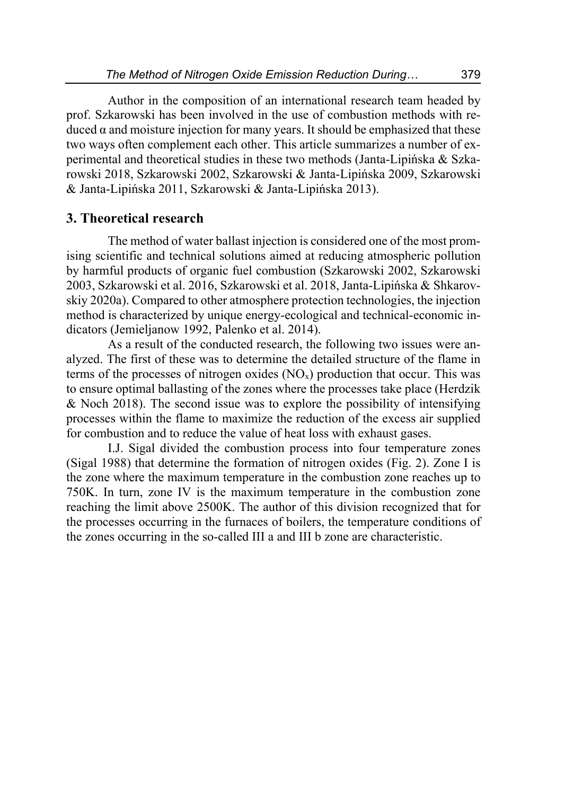Author in the composition of an international research team headed by prof. Szkarowski has been involved in the use of combustion methods with reduced  $\alpha$  and moisture injection for many years. It should be emphasized that these two ways often complement each other. This article summarizes a number of experimental and theoretical studies in these two methods (Janta-Lipińska & Szkarowski 2018, Szkarowski 2002, Szkarowski & Janta-Lipińska 2009, Szkarowski & Janta-Lipińska 2011, Szkarowski & Janta-Lipińska 2013).

### **3. Theoretical research**

The method of water ballast injection is considered one of the most promising scientific and technical solutions aimed at reducing atmospheric pollution by harmful products of organic fuel combustion (Szkarowski 2002, Szkarowski 2003, Szkarowski et al. 2016, Szkarowski et al. 2018, Janta-Lipińska & Shkarovskiy 2020a). Compared to other atmosphere protection technologies, the injection method is characterized by unique energy-ecological and technical-economic indicators (Jemieljanow 1992, Palenko et al. 2014).

As a result of the conducted research, the following two issues were analyzed. The first of these was to determine the detailed structure of the flame in terms of the processes of nitrogen oxides  $(NO<sub>x</sub>)$  production that occur. This was to ensure optimal ballasting of the zones where the processes take place (Herdzik & Noch 2018). The second issue was to explore the possibility of intensifying processes within the flame to maximize the reduction of the excess air supplied for combustion and to reduce the value of heat loss with exhaust gases.

I.J. Sigal divided the combustion process into four temperature zones (Sigal 1988) that determine the formation of nitrogen oxides (Fig. 2). Zone I is the zone where the maximum temperature in the combustion zone reaches up to 750K. In turn, zone IV is the maximum temperature in the combustion zone reaching the limit above 2500K. The author of this division recognized that for the processes occurring in the furnaces of boilers, the temperature conditions of the zones occurring in the so-called III a and III b zone are characteristic.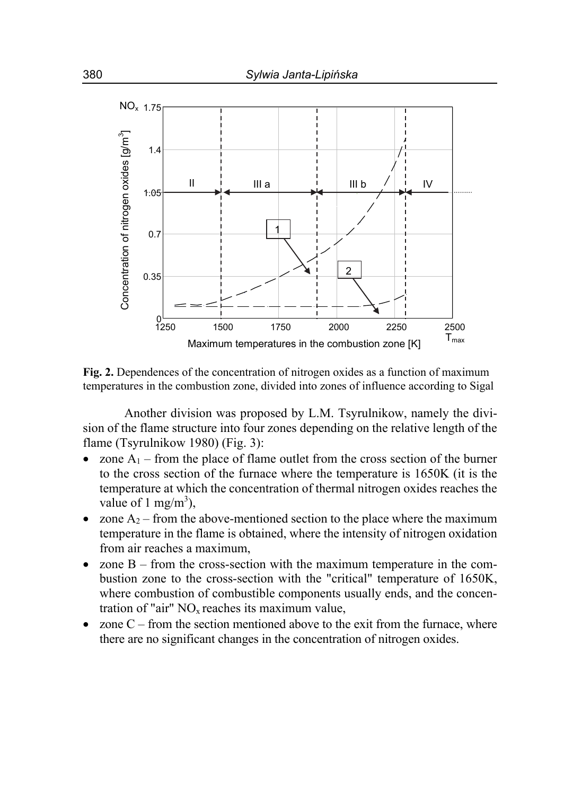

**Fig. 2.** Dependences of the concentration of nitrogen oxides as a function of maximum temperatures in the combustion zone, divided into zones of influence according to Sigal

Another division was proposed by L.M. Tsyrulnikow, namely the division of the flame structure into four zones depending on the relative length of the flame (Tsyrulnikow 1980) (Fig. 3):

- zone  $A_1$  from the place of flame outlet from the cross section of the burner to the cross section of the furnace where the temperature is 1650K (it is the temperature at which the concentration of thermal nitrogen oxides reaches the value of 1 mg/m<sup>3</sup>),
- zone  $A_2$  from the above-mentioned section to the place where the maximum temperature in the flame is obtained, where the intensity of nitrogen oxidation from air reaches a maximum,
- zone B from the cross-section with the maximum temperature in the combustion zone to the cross-section with the "critical" temperature of 1650K, where combustion of combustible components usually ends, and the concentration of "air"  $NO<sub>x</sub>$  reaches its maximum value,
- zone  $C$  from the section mentioned above to the exit from the furnace, where there are no significant changes in the concentration of nitrogen oxides.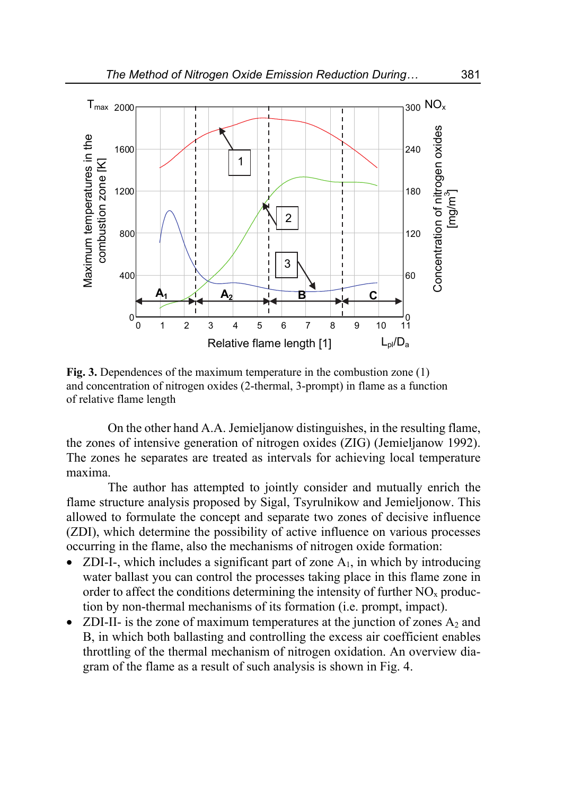

**Fig. 3.** Dependences of the maximum temperature in the combustion zone (1) and concentration of nitrogen oxides (2-thermal, 3-prompt) in flame as a function of relative flame length

On the other hand A.A. Jemieljanow distinguishes, in the resulting flame, the zones of intensive generation of nitrogen oxides (ZIG) (Jemieljanow 1992). The zones he separates are treated as intervals for achieving local temperature maxima.

The author has attempted to jointly consider and mutually enrich the flame structure analysis proposed by Sigal, Tsyrulnikow and Jemieljonow. This allowed to formulate the concept and separate two zones of decisive influence (ZDI), which determine the possibility of active influence on various processes occurring in the flame, also the mechanisms of nitrogen oxide formation:

- ZDI-I-, which includes a significant part of zone  $A_1$ , in which by introducing water ballast you can control the processes taking place in this flame zone in order to affect the conditions determining the intensity of further  $NO<sub>x</sub>$  production by non-thermal mechanisms of its formation (i.e. prompt, impact).
- ZDI-II- is the zone of maximum temperatures at the junction of zones  $A_2$  and B, in which both ballasting and controlling the excess air coefficient enables throttling of the thermal mechanism of nitrogen oxidation. An overview diagram of the flame as a result of such analysis is shown in Fig. 4.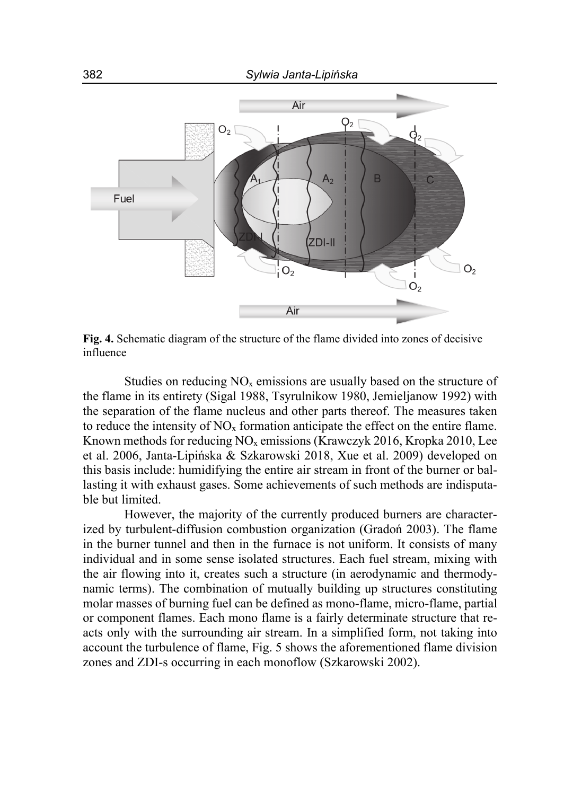

**Fig. 4.** Schematic diagram of the structure of the flame divided into zones of decisive influence

Studies on reducing  $NO<sub>x</sub>$  emissions are usually based on the structure of the flame in its entirety (Sigal 1988, Tsyrulnikow 1980, Jemieljanow 1992) with the separation of the flame nucleus and other parts thereof. The measures taken to reduce the intensity of  $NO<sub>x</sub>$  formation anticipate the effect on the entire flame. Known methods for reducing  $NO<sub>x</sub>$  emissions (Krawczyk 2016, Kropka 2010, Lee et al. 2006, Janta-Lipińska & Szkarowski 2018, Xue et al. 2009) developed on this basis include: humidifying the entire air stream in front of the burner or ballasting it with exhaust gases. Some achievements of such methods are indisputable but limited.

However, the majority of the currently produced burners are characterized by turbulent-diffusion combustion organization (Gradoń 2003). The flame in the burner tunnel and then in the furnace is not uniform. It consists of many individual and in some sense isolated structures. Each fuel stream, mixing with the air flowing into it, creates such a structure (in aerodynamic and thermodynamic terms). The combination of mutually building up structures constituting molar masses of burning fuel can be defined as mono-flame, micro-flame, partial or component flames. Each mono flame is a fairly determinate structure that reacts only with the surrounding air stream. In a simplified form, not taking into account the turbulence of flame, Fig. 5 shows the aforementioned flame division zones and ZDI-s occurring in each monoflow (Szkarowski 2002).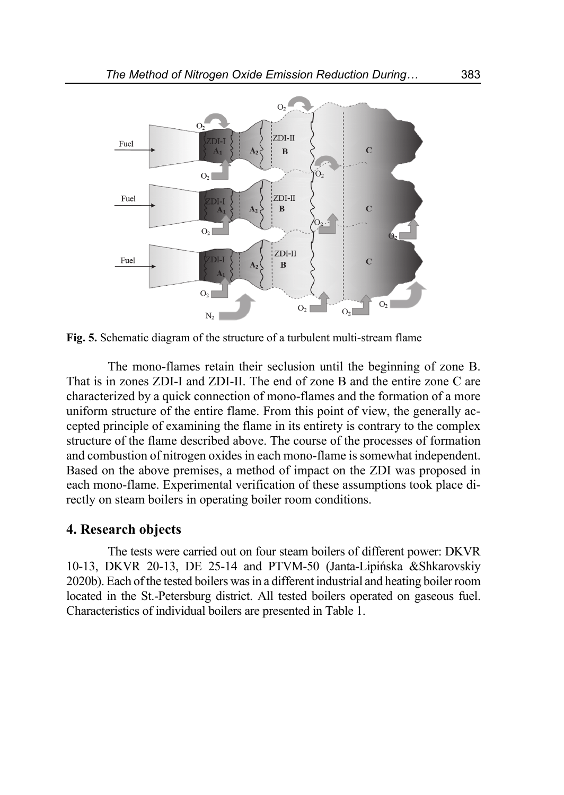

**Fig. 5.** Schematic diagram of the structure of a turbulent multi-stream flame

The mono-flames retain their seclusion until the beginning of zone B. That is in zones ZDI-I and ZDI-II. The end of zone B and the entire zone C are characterized by a quick connection of mono-flames and the formation of a more uniform structure of the entire flame. From this point of view, the generally accepted principle of examining the flame in its entirety is contrary to the complex structure of the flame described above. The course of the processes of formation and combustion of nitrogen oxides in each mono-flame is somewhat independent. Based on the above premises, a method of impact on the ZDI was proposed in each mono-flame. Experimental verification of these assumptions took place directly on steam boilers in operating boiler room conditions.

### **4. Research objects**

The tests were carried out on four steam boilers of different power: DKVR 10-13, DKVR 20-13, DE 25-14 and PTVM-50 (Janta-Lipińska &Shkarovskiy 2020b). Each of the tested boilers was in a different industrial and heating boiler room located in the St.-Petersburg district. All tested boilers operated on gaseous fuel. Characteristics of individual boilers are presented in Table 1.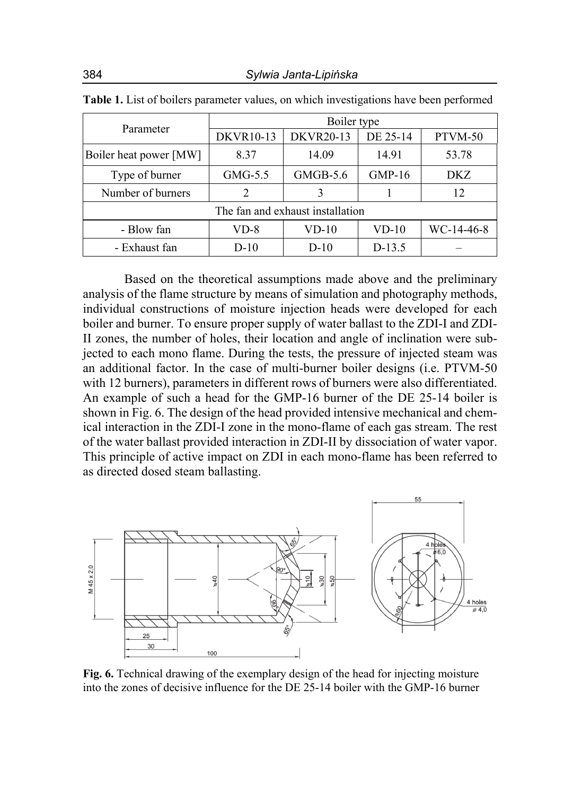| Parameter                        | Boiler type      |                  |          |              |  |  |  |  |  |
|----------------------------------|------------------|------------------|----------|--------------|--|--|--|--|--|
|                                  | <b>DKVR10-13</b> | <b>DKVR20-13</b> | DE 25-14 | PTVM-50      |  |  |  |  |  |
| Boiler heat power [MW]           | 8.37             | 14.09            |          | 53.78        |  |  |  |  |  |
| Type of burner                   | $GMG-5.5$        | $GMGB-5.6$       | $GMP-16$ | DKZ          |  |  |  |  |  |
| Number of burners                | $\mathcal{D}$    |                  |          | 12           |  |  |  |  |  |
| The fan and exhaust installation |                  |                  |          |              |  |  |  |  |  |
| - Blow fan                       | VD-8             | VD-10            | $VD-10$  | $WC-14-46-8$ |  |  |  |  |  |
| - Exhaust fan                    | $D-10$           | $D-10$           | $D-13.5$ |              |  |  |  |  |  |

|  |  |  |  | <b>Table 1.</b> List of boilers parameter values, on which investigations have been performed |  |
|--|--|--|--|-----------------------------------------------------------------------------------------------|--|
|  |  |  |  |                                                                                               |  |

Based on the theoretical assumptions made above and the preliminary analysis of the flame structure by means of simulation and photography methods, individual constructions of moisture injection heads were developed for each boiler and burner. To ensure proper supply of water ballast to the ZDI-I and ZDI-II zones, the number of holes, their location and angle of inclination were subjected to each mono flame. During the tests, the pressure of injected steam was an additional factor. In the case of multi-burner boiler designs (i.e. PTVM-50 with 12 burners), parameters in different rows of burners were also differentiated. An example of such a head for the GMP-16 burner of the DE 25-14 boiler is shown in Fig. 6. The design of the head provided intensive mechanical and chemical interaction in the ZDI-I zone in the mono-flame of each gas stream. The rest of the water ballast provided interaction in ZDI-II by dissociation of water vapor. This principle of active impact on ZDI in each mono-flame has been referred to as directed dosed steam ballasting.



**Fig. 6.** Technical drawing of the exemplary design of the head for injecting moisture into the zones of decisive influence for the DE 25-14 boiler with the GMP-16 burner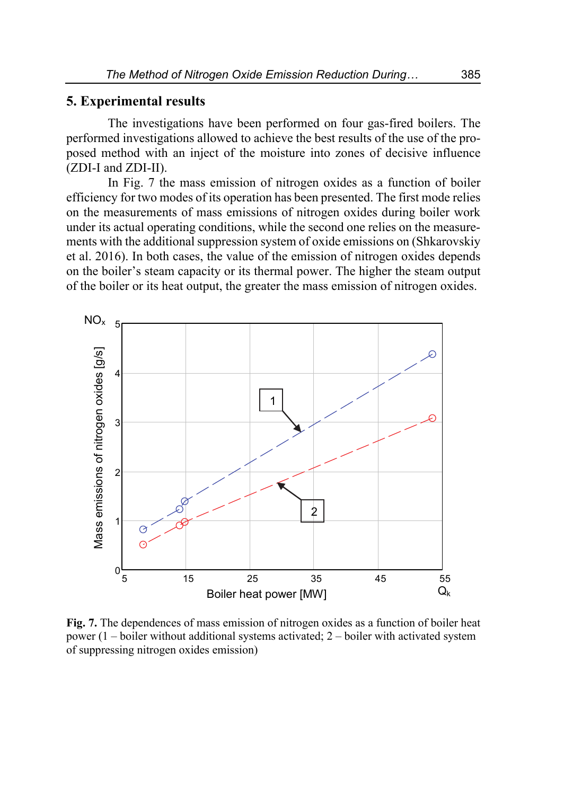### **5. Experimental results**

The investigations have been performed on four gas-fired boilers. The performed investigations allowed to achieve the best results of the use of the proposed method with an inject of the moisture into zones of decisive influence (ZDI-I and ZDI-II).

In Fig. 7 the mass emission of nitrogen oxides as a function of boiler efficiency for two modes of its operation has been presented. The first mode relies on the measurements of mass emissions of nitrogen oxides during boiler work under its actual operating conditions, while the second one relies on the measurements with the additional suppression system of oxide emissions on (Shkarovskiy et al. 2016). In both cases, the value of the emission of nitrogen oxides depends on the boiler's steam capacity or its thermal power. The higher the steam output of the boiler or its heat output, the greater the mass emission of nitrogen oxides.



**Fig. 7.** The dependences of mass emission of nitrogen oxides as a function of boiler heat power  $(1 - \text{boiler without additional systems activated}; 2 - \text{boiler with activated system})$ of suppressing nitrogen oxides emission)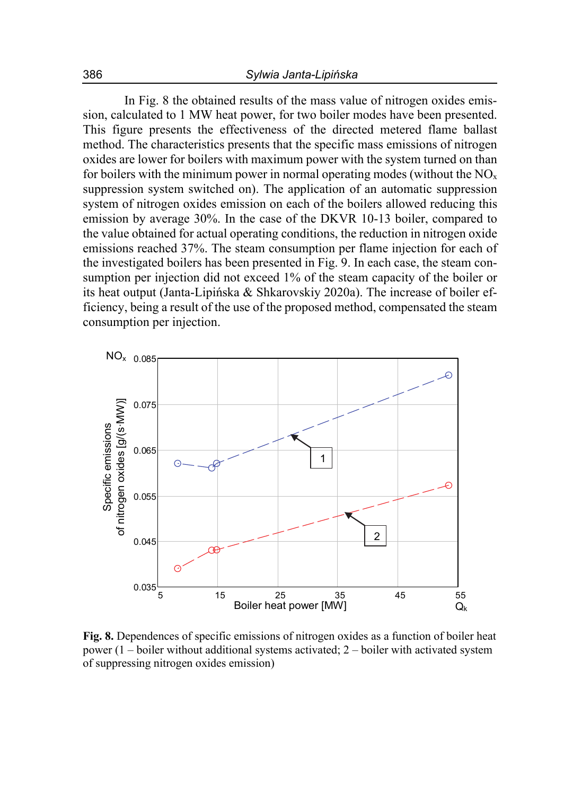In Fig. 8 the obtained results of the mass value of nitrogen oxides emission, calculated to 1 MW heat power, for two boiler modes have been presented. This figure presents the effectiveness of the directed metered flame ballast method. The characteristics presents that the specific mass emissions of nitrogen oxides are lower for boilers with maximum power with the system turned on than for boilers with the minimum power in normal operating modes (without the  $NO<sub>x</sub>$ suppression system switched on). The application of an automatic suppression system of nitrogen oxides emission on each of the boilers allowed reducing this emission by average 30%. In the case of the DKVR 10-13 boiler, compared to the value obtained for actual operating conditions, the reduction in nitrogen oxide emissions reached 37%. The steam consumption per flame injection for each of the investigated boilers has been presented in Fig. 9. In each case, the steam consumption per injection did not exceed 1% of the steam capacity of the boiler or its heat output (Janta-Lipińska & Shkarovskiy 2020a). The increase of boiler efficiency, being a result of the use of the proposed method, compensated the steam consumption per injection.



**Fig. 8.** Dependences of specific emissions of nitrogen oxides as a function of boiler heat power  $(1 - \text{boiler without additional systems activated}; 2 - \text{boiler with activated system})$ of suppressing nitrogen oxides emission)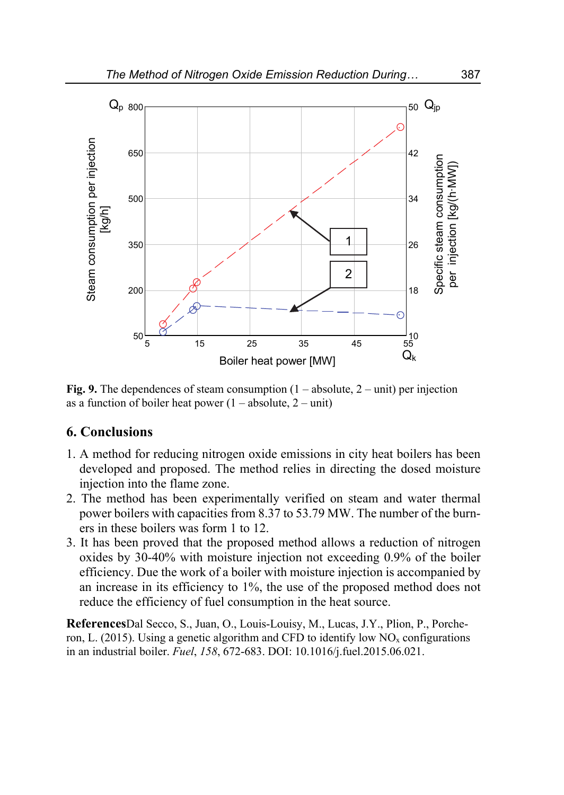

**Fig. 9.** The dependences of steam consumption  $(1 - absolute, 2 - unit)$  per injection as a function of boiler heat power  $(1 - absolute, 2 - unit)$ 

### **6. Conclusions**

- 1. A method for reducing nitrogen oxide emissions in city heat boilers has been developed and proposed. The method relies in directing the dosed moisture injection into the flame zone.
- 2. The method has been experimentally verified on steam and water thermal power boilers with capacities from 8.37 to 53.79 MW. The number of the burners in these boilers was form 1 to 12.
- 3. It has been proved that the proposed method allows a reduction of nitrogen oxides by 30-40% with moisture injection not exceeding 0.9% of the boiler efficiency. Due the work of a boiler with moisture injection is accompanied by an increase in its efficiency to 1%, the use of the proposed method does not reduce the efficiency of fuel consumption in the heat source.

**References**Dal Secco, S., Juan, O., Louis-Louisy, M., Lucas, J.Y., Plion, P., Porcheron, L. (2015). Using a genetic algorithm and CFD to identify low  $NO<sub>x</sub>$  configurations in an industrial boiler. *Fuel*, *158*, 672-683. DOI: 10.1016/j.fuel.2015.06.021.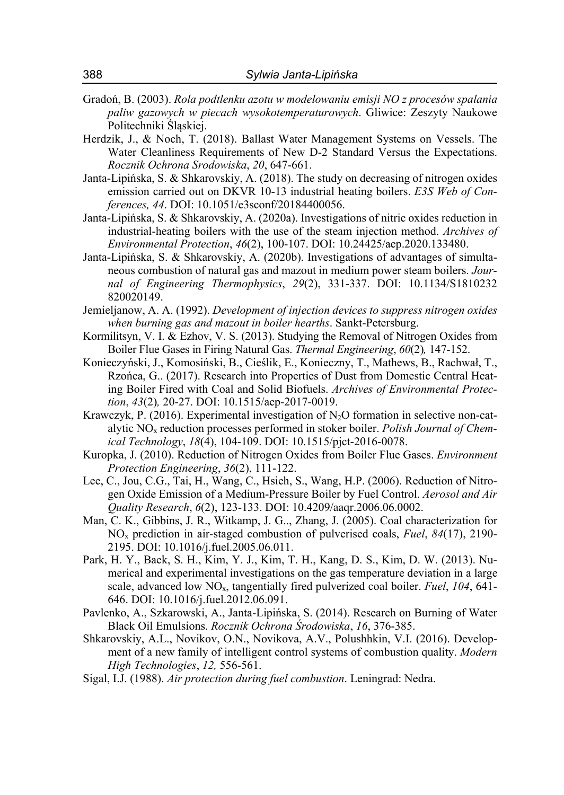- Gradoń, B. (2003). *Rola podtlenku azotu w modelowaniu emisji NO z procesów spalania paliw gazowych w piecach wysokotemperaturowych*. Gliwice: Zeszyty Naukowe Politechniki Śląskiej.
- Herdzik, J., & Noch, T. (2018). Ballast Water Management Systems on Vessels. The Water Cleanliness Requirements of New D-2 Standard Versus the Expectations. *Rocznik Ochrona Srodowiska*, *20*, 647-661.
- Janta-Lipińska, S. & Shkarovskiy, A. (2018). The study on decreasing of nitrogen oxides emission carried out on DKVR 10-13 industrial heating boilers. *E3S Web of Conferences, 44*. DOI: 10.1051/e3sconf/20184400056.
- Janta-Lipińska, S. & Shkarovskiy, A. (2020a). Investigations of nitric oxides reduction in industrial-heating boilers with the use of the steam injection method. *Archives of Environmental Protection*, *46*(2), 100-107. DOI: 10.24425/aep.2020.133480.
- Janta-Lipińska, S. & Shkarovskiy, A. (2020b). Investigations of advantages of simultaneous combustion of natural gas and mazout in medium power steam boilers. *Journal of Engineering Thermophysics*, *29*(2), 331-337. DOI: 10.1134/S1810232 820020149.
- Jemieljanow, A. A. (1992). *Development of injection devices to suppress nitrogen oxides when burning gas and mazout in boiler hearths*. Sankt-Petersburg.
- Kormilitsyn, V. I. & Ezhov, V. S. (2013). Studying the Removal of Nitrogen Oxides from Boiler Flue Gases in Firing Natural Gas. *Thermal Engineering*, *60*(2)*,* 147-152.
- Konieczyński, J., Komosiński, B., Cieślik, E., Konieczny, T., Mathews, B., Rachwał, T., Rzońca, G.. (2017). Research into Properties of Dust from Domestic Central Heating Boiler Fired with Coal and Solid Biofuels. *Archives of Environmental Protection*, *43*(2)*,* 20-27. DOI: 10.1515/aep-2017-0019.
- Krawczyk, P. (2016). Experimental investigation of  $N_2O$  formation in selective non-catalytic NOx reduction processes performed in stoker boiler. *Polish Journal of Chemical Technology*, *18*(4), 104-109. DOI: 10.1515/pjct-2016-0078.
- Kuropka, J. (2010). Reduction of Nitrogen Oxides from Boiler Flue Gases. *Environment Protection Engineering*, *36*(2), 111-122.
- Lee, C., Jou, C.G., Tai, H., Wang, C., Hsieh, S., Wang, H.P. (2006). Reduction of Nitrogen Oxide Emission of a Medium-Pressure Boiler by Fuel Control. *Aerosol and Air Quality Research*, *6*(2), 123-133. DOI: 10.4209/aaqr.2006.06.0002.
- Man, C. K., Gibbins, J. R., Witkamp, J. G.., Zhang, J. (2005). Coal characterization for NOx prediction in air-staged combustion of pulverised coals, *Fuel*, *84*(17), 2190- 2195. DOI: 10.1016/j.fuel.2005.06.011.
- Park, H. Y., Baek, S. H., Kim, Y. J., Kim, T. H., Kang, D. S., Kim, D. W. (2013). Numerical and experimental investigations on the gas temperature deviation in a large scale, advanced low NOx, tangentially fired pulverized coal boiler. *Fuel*, *104*, 641- 646. DOI: 10.1016/j.fuel.2012.06.091.
- Pavlenko, A., Szkarowski, A., Janta-Lipińska, S. (2014). Research on Burning of Water Black Oil Emulsions. *Rocznik Ochrona Środowiska*, *16*, 376-385.
- Shkarovskiy, A.L., Novikov, O.N., Novikova, A.V., Polushhkin, V.I. (2016). Development of a new family of intelligent control systems of combustion quality. *Modern High Technologies*, *12,* 556-561.
- Sigal, I.J. (1988). *Air protection during fuel combustion*. Leningrad: Nedra.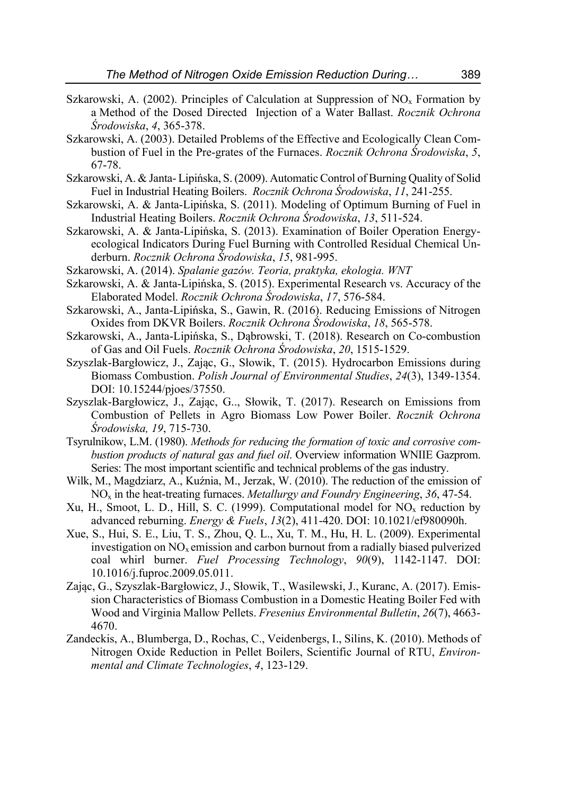- Szkarowski, A. (2002). Principles of Calculation at Suppression of  $NO<sub>x</sub>$  Formation by a Method of the Dosed Directed Injection of a Water Ballast. *Rocznik Ochrona Środowiska*, *4*, 365-378.
- Szkarowski, A. (2003). Detailed Problems of the Effective and Ecologically Clean Combustion of Fuel in the Pre-grates of the Furnaces. *Rocznik Ochrona Środowiska*, *5*, 67-78.
- Szkarowski, A. & Janta- Lipińska, S. (2009). Automatic Control of Burning Quality of Solid Fuel in Industrial Heating Boilers. *Rocznik Ochrona Środowiska*, *11*, 241-255.
- Szkarowski, A. & Janta-Lipińska, S. (2011). Modeling of Optimum Burning of Fuel in Industrial Heating Boilers. *Rocznik Ochrona Środowiska*, *13*, 511-524.
- Szkarowski, A. & Janta-Lipińska, S. (2013). Examination of Boiler Operation Energyecological Indicators During Fuel Burning with Controlled Residual Chemical Underburn. *Rocznik Ochrona Środowiska*, *15*, 981-995.
- Szkarowski, A. (2014). *Spalanie gazów. Teoria, praktyka, ekologia. WNT*
- Szkarowski, A. & Janta-Lipińska, S. (2015). Experimental Research vs. Accuracy of the Elaborated Model. *Rocznik Ochrona Środowiska*, *17*, 576-584.
- Szkarowski, A., Janta-Lipińska, S., Gawin, R. (2016). Reducing Emissions of Nitrogen Oxides from DKVR Boilers. *Rocznik Ochrona Środowiska*, *18*, 565-578.
- Szkarowski, A., Janta-Lipińska, S., Dąbrowski, T. (2018). Research on Co-combustion of Gas and Oil Fuels. *Rocznik Ochrona Środowiska*, *20*, 1515-1529.
- Szyszlak-Bargłowicz, J., Zając, G., Słowik, T. (2015). Hydrocarbon Emissions during Biomass Combustion. *Polish Journal of Environmental Studies*, *24*(3), 1349-1354. DOI: 10.15244/pjoes/37550.
- Szyszlak-Bargłowicz, J., Zając, G.., Słowik, T. (2017). Research on Emissions from Combustion of Pellets in Agro Biomass Low Power Boiler. *Rocznik Ochrona Środowiska, 19*, 715-730.
- Tsyrulnikow, L.M. (1980). *Methods for reducing the formation of toxic and corrosive combustion products of natural gas and fuel oil*. Overview information WNIIE Gazprom. Series: The most important scientific and technical problems of the gas industry.
- Wilk, M., Magdziarz, A., Kuźnia, M., Jerzak, W. (2010). The reduction of the emission of NOx in the heat-treating furnaces. *Metallurgy and Foundry Engineering*, *36*, 47-54.
- Xu, H., Smoot, L. D., Hill, S. C. (1999). Computational model for  $NO<sub>x</sub>$  reduction by advanced reburning. *Energy & Fuels*, *13*(2), 411-420. DOI: 10.1021/ef980090h.
- Xue, S., Hui, S. E., Liu, T. S., Zhou, Q. L., Xu, T. M., Hu, H. L. (2009). Experimental investigation on  $NO<sub>x</sub>$  emission and carbon burnout from a radially biased pulverized coal whirl burner. *Fuel Processing Technology*, *90*(9), 1142-1147. DOI: 10.1016/j.fuproc.2009.05.011.
- Zając, G., Szyszlak-Bargłowicz, J., Słowik, T., Wasilewski, J., Kuranc, A. (2017). Emission Characteristics of Biomass Combustion in a Domestic Heating Boiler Fed with Wood and Virginia Mallow Pellets. *Fresenius Environmental Bulletin*, *26*(7), 4663- 4670.
- Zandeckis, A., Blumberga, D., Rochas, C., Veidenbergs, I., Silins, K. (2010). Methods of Nitrogen Oxide Reduction in Pellet Boilers, Scientific Journal of RTU, *Environmental and Climate Technologies*, *4*, 123-129.